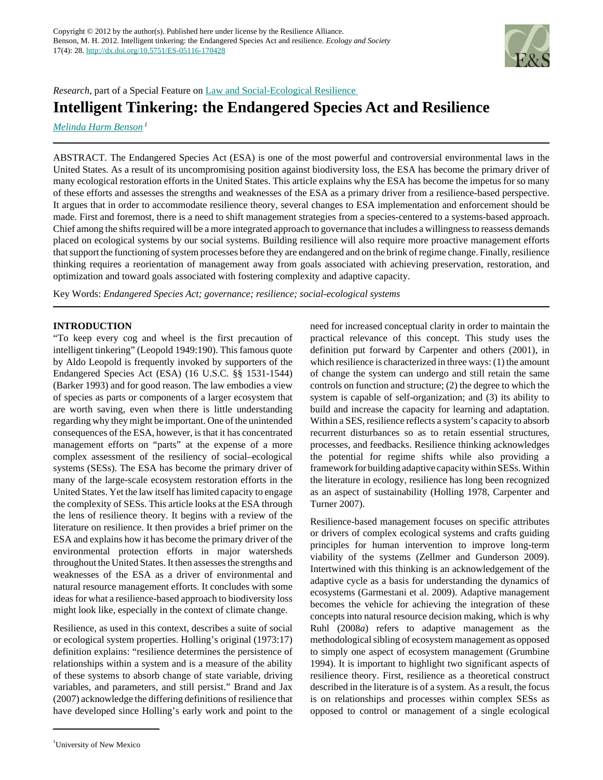

*Research*, part of a Special Feature on [Law and Social-Ecological Resilience](http://www.ecologyandsociety.org/viewissue.php?sf=78) 

# **Intelligent Tinkering: the Endangered Species Act and Resilience**

*[Melinda Harm Benson](mailto:mhbenson@unm.edu)<sup>1</sup>*

ABSTRACT. The Endangered Species Act (ESA) is one of the most powerful and controversial environmental laws in the United States. As a result of its uncompromising position against biodiversity loss, the ESA has become the primary driver of many ecological restoration efforts in the United States. This article explains why the ESA has become the impetus for so many of these efforts and assesses the strengths and weaknesses of the ESA as a primary driver from a resilience-based perspective. It argues that in order to accommodate resilience theory, several changes to ESA implementation and enforcement should be made. First and foremost, there is a need to shift management strategies from a species-centered to a systems-based approach. Chief among the shifts required will be a more integrated approach to governance that includes a willingness to reassess demands placed on ecological systems by our social systems. Building resilience will also require more proactive management efforts that support the functioning of system processes before they are endangered and on the brink of regime change. Finally, resilience thinking requires a reorientation of management away from goals associated with achieving preservation, restoration, and optimization and toward goals associated with fostering complexity and adaptive capacity.

Key Words: *Endangered Species Act; governance; resilience; social-ecological systems*

# **INTRODUCTION**

"To keep every cog and wheel is the first precaution of intelligent tinkering" (Leopold 1949:190). This famous quote by Aldo Leopold is frequently invoked by supporters of the Endangered Species Act (ESA) (16 U.S.C. §§ 1531-1544) (Barker 1993) and for good reason. The law embodies a view of species as parts or components of a larger ecosystem that are worth saving, even when there is little understanding regarding why they might be important. One of the unintended consequences of the ESA, however, is that it has concentrated management efforts on "parts" at the expense of a more complex assessment of the resiliency of social–ecological systems (SESs). The ESA has become the primary driver of many of the large-scale ecosystem restoration efforts in the United States. Yet the law itself has limited capacity to engage the complexity of SESs. This article looks at the ESA through the lens of resilience theory. It begins with a review of the literature on resilience. It then provides a brief primer on the ESA and explains how it has become the primary driver of the environmental protection efforts in major watersheds throughout the United States. It then assesses the strengths and weaknesses of the ESA as a driver of environmental and natural resource management efforts. It concludes with some ideas for what a resilience-based approach to biodiversity loss might look like, especially in the context of climate change.

Resilience, as used in this context, describes a suite of social or ecological system properties. Holling's original (1973:17) definition explains: "resilience determines the persistence of relationships within a system and is a measure of the ability of these systems to absorb change of state variable, driving variables, and parameters, and still persist." Brand and Jax (2007) acknowledge the differing definitions of resilience that have developed since Holling's early work and point to the need for increased conceptual clarity in order to maintain the practical relevance of this concept. This study uses the definition put forward by Carpenter and others (2001), in which resilience is characterized in three ways: (1) the amount of change the system can undergo and still retain the same controls on function and structure; (2) the degree to which the system is capable of self-organization; and (3) its ability to build and increase the capacity for learning and adaptation. Within a SES, resilience reflects a system's capacity to absorb recurrent disturbances so as to retain essential structures, processes, and feedbacks. Resilience thinking acknowledges the potential for regime shifts while also providing a framework for building adaptive capacity within SESs. Within the literature in ecology, resilience has long been recognized as an aspect of sustainability (Holling 1978, Carpenter and Turner 2007).

Resilience-based management focuses on specific attributes or drivers of complex ecological systems and crafts guiding principles for human intervention to improve long-term viability of the systems (Zellmer and Gunderson 2009). Intertwined with this thinking is an acknowledgement of the adaptive cycle as a basis for understanding the dynamics of ecosystems (Garmestani et al. 2009). Adaptive management becomes the vehicle for achieving the integration of these concepts into natural resource decision making, which is why Ruhl (2008*a*) refers to adaptive management as the methodological sibling of ecosystem management as opposed to simply one aspect of ecosystem management (Grumbine 1994). It is important to highlight two significant aspects of resilience theory. First, resilience as a theoretical construct described in the literature is of a system. As a result, the focus is on relationships and processes within complex SESs as opposed to control or management of a single ecological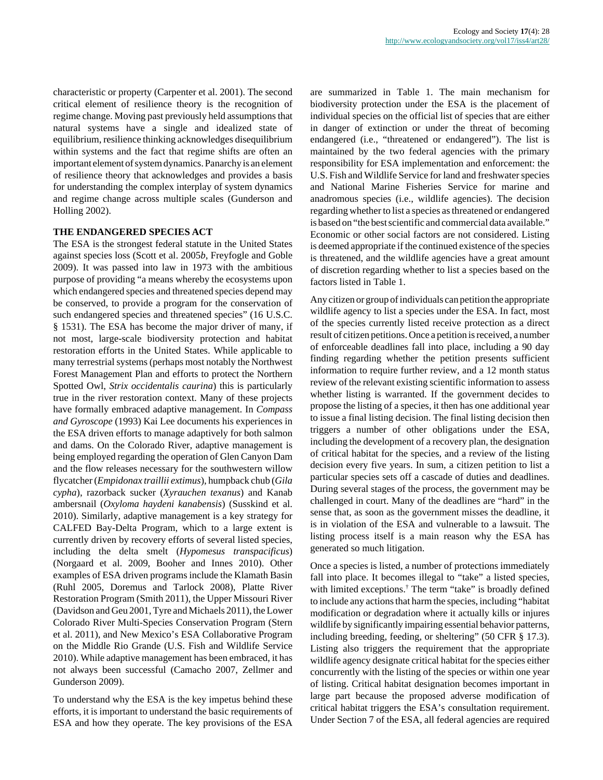characteristic or property (Carpenter et al. 2001). The second critical element of resilience theory is the recognition of regime change. Moving past previously held assumptions that natural systems have a single and idealized state of equilibrium, resilience thinking acknowledges disequilibrium within systems and the fact that regime shifts are often an important element of system dynamics. Panarchy is an element of resilience theory that acknowledges and provides a basis for understanding the complex interplay of system dynamics and regime change across multiple scales (Gunderson and Holling 2002).

## **THE ENDANGERED SPECIES ACT**

The ESA is the strongest federal statute in the United States against species loss (Scott et al. 2005*b*, Freyfogle and Goble 2009). It was passed into law in 1973 with the ambitious purpose of providing "a means whereby the ecosystems upon which endangered species and threatened species depend may be conserved, to provide a program for the conservation of such endangered species and threatened species" (16 U.S.C.) § 1531). The ESA has become the major driver of many, if not most, large-scale biodiversity protection and habitat restoration efforts in the United States. While applicable to many terrestrial systems (perhaps most notably the Northwest Forest Management Plan and efforts to protect the Northern Spotted Owl, *Strix occidentalis caurina*) this is particularly true in the river restoration context. Many of these projects have formally embraced adaptive management. In *Compass and Gyroscope* (1993) Kai Lee documents his experiences in the ESA driven efforts to manage adaptively for both salmon and dams. On the Colorado River, adaptive management is being employed regarding the operation of Glen Canyon Dam and the flow releases necessary for the southwestern willow flycatcher (*Empidonax traillii extimus*), humpback chub (*Gila cypha*), razorback sucker (*Xyrauchen texanus*) and Kanab ambersnail (*Oxyloma haydeni kanabensis*) (Susskind et al. 2010). Similarly, adaptive management is a key strategy for CALFED Bay-Delta Program, which to a large extent is currently driven by recovery efforts of several listed species, including the delta smelt (*Hypomesus transpacificus*) (Norgaard et al. 2009, Booher and Innes 2010). Other examples of ESA driven programs include the Klamath Basin (Ruhl 2005, Doremus and Tarlock 2008), Platte River Restoration Program (Smith 2011), the Upper Missouri River (Davidson and Geu 2001, Tyre and Michaels 2011), the Lower Colorado River Multi-Species Conservation Program (Stern et al. 2011), and New Mexico's ESA Collaborative Program on the Middle Rio Grande (U.S. Fish and Wildlife Service 2010). While adaptive management has been embraced, it has not always been successful (Camacho 2007, Zellmer and Gunderson 2009).

To understand why the ESA is the key impetus behind these efforts, it is important to understand the basic requirements of ESA and how they operate. The key provisions of the ESA are summarized in Table 1. The main mechanism for biodiversity protection under the ESA is the placement of individual species on the official list of species that are either in danger of extinction or under the threat of becoming endangered (i.e., "threatened or endangered"). The list is maintained by the two federal agencies with the primary responsibility for ESA implementation and enforcement: the U.S. Fish and Wildlife Service for land and freshwater species and National Marine Fisheries Service for marine and anadromous species (i.e., wildlife agencies). The decision regarding whether to list a species as threatened or endangered is based on "the best scientific and commercial data available." Economic or other social factors are not considered. Listing is deemed appropriate if the continued existence of the species is threatened, and the wildlife agencies have a great amount of discretion regarding whether to list a species based on the factors listed in Table 1.

Any citizen or group of individuals can petition the appropriate wildlife agency to list a species under the ESA. In fact, most of the species currently listed receive protection as a direct result of citizen petitions. Once a petition is received, a number of enforceable deadlines fall into place, including a 90 day finding regarding whether the petition presents sufficient information to require further review, and a 12 month status review of the relevant existing scientific information to assess whether listing is warranted. If the government decides to propose the listing of a species, it then has one additional year to issue a final listing decision. The final listing decision then triggers a number of other obligations under the ESA, including the development of a recovery plan, the designation of critical habitat for the species, and a review of the listing decision every five years. In sum, a citizen petition to list a particular species sets off a cascade of duties and deadlines. During several stages of the process, the government may be challenged in court. Many of the deadlines are "hard" in the sense that, as soon as the government misses the deadline, it is in violation of the ESA and vulnerable to a lawsuit. The listing process itself is a main reason why the ESA has generated so much litigation.

Once a species is listed, a number of protections immediately fall into place. It becomes illegal to "take" a listed species, with limited exceptions.<sup>†</sup> The term "take" is broadly defined to include any actions that harm the species, including "habitat modification or degradation where it actually kills or injures wildlife by significantly impairing essential behavior patterns, including breeding, feeding, or sheltering" (50 CFR § 17.3). Listing also triggers the requirement that the appropriate wildlife agency designate critical habitat for the species either concurrently with the listing of the species or within one year of listing. Critical habitat designation becomes important in large part because the proposed adverse modification of critical habitat triggers the ESA's consultation requirement. Under Section 7 of the ESA, all federal agencies are required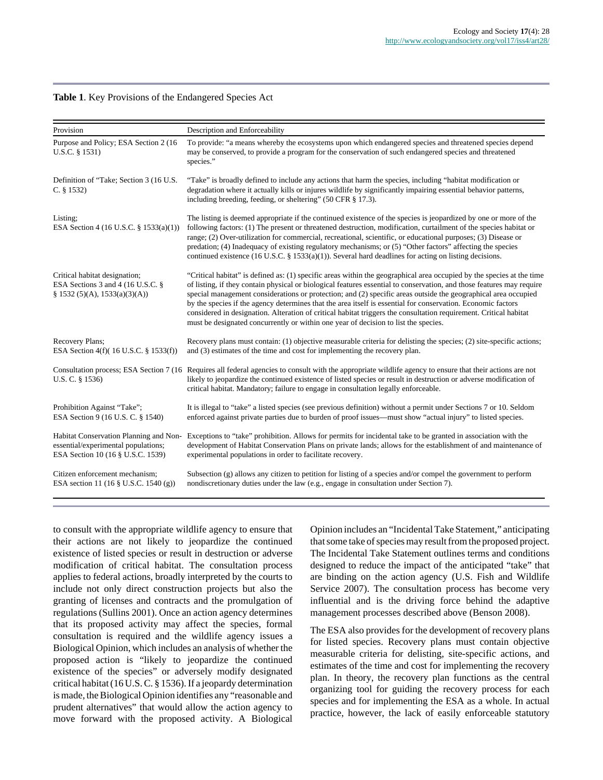#### **Table 1**. Key Provisions of the Endangered Species Act

| Provision                                                                                                          | Description and Enforceability                                                                                                                                                                                                                                                                                                                                                                                                                                                                                                                                                                                                                                                               |
|--------------------------------------------------------------------------------------------------------------------|----------------------------------------------------------------------------------------------------------------------------------------------------------------------------------------------------------------------------------------------------------------------------------------------------------------------------------------------------------------------------------------------------------------------------------------------------------------------------------------------------------------------------------------------------------------------------------------------------------------------------------------------------------------------------------------------|
| Purpose and Policy; ESA Section 2 (16)<br>U.S.C. $§$ 1531)                                                         | To provide: "a means whereby the ecosystems upon which endangered species and threatened species depend<br>may be conserved, to provide a program for the conservation of such endangered species and threatened<br>species."                                                                                                                                                                                                                                                                                                                                                                                                                                                                |
| Definition of "Take; Section 3 (16 U.S.<br>C. § 1532                                                               | "Take" is broadly defined to include any actions that harm the species, including "habitat modification or<br>degradation where it actually kills or injures wildlife by significantly impairing essential behavior patterns,<br>including breeding, feeding, or sheltering" (50 CFR § 17.3).                                                                                                                                                                                                                                                                                                                                                                                                |
| Listing;<br>ESA Section 4 (16 U.S.C. § 1533(a)(1))                                                                 | The listing is deemed appropriate if the continued existence of the species is jeopardized by one or more of the<br>following factors: (1) The present or threatened destruction, modification, curtailment of the species habitat or<br>range; (2) Over-utilization for commercial, recreational, scientific, or educational purposes; (3) Disease or<br>predation; (4) Inadequacy of existing regulatory mechanisms; or (5) "Other factors" affecting the species<br>continued existence $(16 \text{ U.S.C. } § 1533(a)(1))$ . Several hard deadlines for acting on listing decisions.                                                                                                     |
| Critical habitat designation;<br>ESA Sections 3 and 4 (16 U.S.C. §<br>§ 1532 (5)(A), 1533(a)(3)(A))                | "Critical habitat" is defined as: (1) specific areas within the geographical area occupied by the species at the time<br>of listing, if they contain physical or biological features essential to conservation, and those features may require<br>special management considerations or protection; and (2) specific areas outside the geographical area occupied<br>by the species if the agency determines that the area itself is essential for conservation. Economic factors<br>considered in designation. Alteration of critical habitat triggers the consultation requirement. Critical habitat<br>must be designated concurrently or within one year of decision to list the species. |
| Recovery Plans;<br>ESA Section 4(f)(16 U.S.C. § 1533(f))                                                           | Recovery plans must contain: (1) objective measurable criteria for delisting the species; (2) site-specific actions;<br>and (3) estimates of the time and cost for implementing the recovery plan.                                                                                                                                                                                                                                                                                                                                                                                                                                                                                           |
| U.S. C. § 1536)                                                                                                    | Consultation process; ESA Section 7 (16 Requires all federal agencies to consult with the appropriate wildlife agency to ensure that their actions are not<br>likely to jeopardize the continued existence of listed species or result in destruction or adverse modification of<br>critical habitat. Mandatory; failure to engage in consultation legally enforceable.                                                                                                                                                                                                                                                                                                                      |
| Prohibition Against "Take";<br>ESA Section 9 (16 U.S. C. § 1540)                                                   | It is illegal to "take" a listed species (see previous definition) without a permit under Sections 7 or 10. Seldom<br>enforced against private parties due to burden of proof issues—must show "actual injury" to listed species.                                                                                                                                                                                                                                                                                                                                                                                                                                                            |
| Habitat Conservation Planning and Non-<br>essential/experimental populations;<br>ESA Section 10 (16 § U.S.C. 1539) | Exceptions to "take" prohibition. Allows for permits for incidental take to be granted in association with the<br>development of Habitat Conservation Plans on private lands; allows for the establishment of and maintenance of<br>experimental populations in order to facilitate recovery.                                                                                                                                                                                                                                                                                                                                                                                                |
| Citizen enforcement mechanism;<br>ESA section 11 (16 § U.S.C. 1540 (g))                                            | Subsection $(g)$ allows any citizen to petition for listing of a species and/or compel the government to perform<br>nondiscretionary duties under the law (e.g., engage in consultation under Section 7).                                                                                                                                                                                                                                                                                                                                                                                                                                                                                    |

to consult with the appropriate wildlife agency to ensure that their actions are not likely to jeopardize the continued existence of listed species or result in destruction or adverse modification of critical habitat. The consultation process applies to federal actions, broadly interpreted by the courts to include not only direct construction projects but also the granting of licenses and contracts and the promulgation of regulations (Sullins 2001). Once an action agency determines that its proposed activity may affect the species, formal consultation is required and the wildlife agency issues a Biological Opinion, which includes an analysis of whether the proposed action is "likely to jeopardize the continued existence of the species" or adversely modify designated critical habitat (16 U.S. C. § 1536). If a jeopardy determination is made, the Biological Opinion identifies any "reasonable and prudent alternatives" that would allow the action agency to move forward with the proposed activity. A Biological

Opinion includes an "Incidental Take Statement," anticipating that some take of species may result from the proposed project. The Incidental Take Statement outlines terms and conditions designed to reduce the impact of the anticipated "take" that are binding on the action agency (U.S. Fish and Wildlife Service 2007). The consultation process has become very influential and is the driving force behind the adaptive management processes described above (Benson 2008).

The ESA also provides for the development of recovery plans for listed species. Recovery plans must contain objective measurable criteria for delisting, site-specific actions, and estimates of the time and cost for implementing the recovery plan. In theory, the recovery plan functions as the central organizing tool for guiding the recovery process for each species and for implementing the ESA as a whole. In actual practice, however, the lack of easily enforceable statutory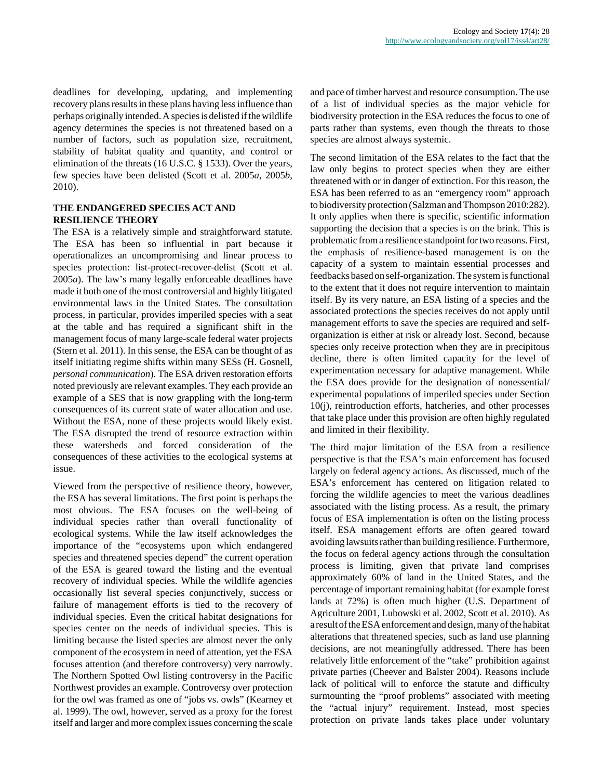deadlines for developing, updating, and implementing recovery plans results in these plans having less influence than perhaps originally intended. A species is delisted if the wildlife agency determines the species is not threatened based on a number of factors, such as population size, recruitment, stability of habitat quality and quantity, and control or elimination of the threats (16 U.S.C. § 1533). Over the years, few species have been delisted (Scott et al. 2005*a*, 2005*b*, 2010).

### **THE ENDANGERED SPECIES ACT AND RESILIENCE THEORY**

The ESA is a relatively simple and straightforward statute. The ESA has been so influential in part because it operationalizes an uncompromising and linear process to species protection: list-protect-recover-delist (Scott et al. 2005*a*). The law's many legally enforceable deadlines have made it both one of the most controversial and highly litigated environmental laws in the United States. The consultation process, in particular, provides imperiled species with a seat at the table and has required a significant shift in the management focus of many large-scale federal water projects (Stern et al. 2011). In this sense, the ESA can be thought of as itself initiating regime shifts within many SESs (H. Gosnell, *personal communication*). The ESA driven restoration efforts noted previously are relevant examples. They each provide an example of a SES that is now grappling with the long-term consequences of its current state of water allocation and use. Without the ESA, none of these projects would likely exist. The ESA disrupted the trend of resource extraction within these watersheds and forced consideration of the consequences of these activities to the ecological systems at issue.

Viewed from the perspective of resilience theory, however, the ESA has several limitations. The first point is perhaps the most obvious. The ESA focuses on the well-being of individual species rather than overall functionality of ecological systems. While the law itself acknowledges the importance of the "ecosystems upon which endangered species and threatened species depend" the current operation of the ESA is geared toward the listing and the eventual recovery of individual species. While the wildlife agencies occasionally list several species conjunctively, success or failure of management efforts is tied to the recovery of individual species. Even the critical habitat designations for species center on the needs of individual species. This is limiting because the listed species are almost never the only component of the ecosystem in need of attention, yet the ESA focuses attention (and therefore controversy) very narrowly. The Northern Spotted Owl listing controversy in the Pacific Northwest provides an example. Controversy over protection for the owl was framed as one of "jobs vs. owls" (Kearney et al. 1999). The owl, however, served as a proxy for the forest itself and larger and more complex issues concerning the scale and pace of timber harvest and resource consumption. The use of a list of individual species as the major vehicle for biodiversity protection in the ESA reduces the focus to one of parts rather than systems, even though the threats to those species are almost always systemic.

The second limitation of the ESA relates to the fact that the law only begins to protect species when they are either threatened with or in danger of extinction. For this reason, the ESA has been referred to as an "emergency room" approach to biodiversity protection (Salzman and Thompson 2010:282). It only applies when there is specific, scientific information supporting the decision that a species is on the brink. This is problematic from a resilience standpoint for two reasons. First, the emphasis of resilience-based management is on the capacity of a system to maintain essential processes and feedbacks based on self-organization. The system is functional to the extent that it does not require intervention to maintain itself. By its very nature, an ESA listing of a species and the associated protections the species receives do not apply until management efforts to save the species are required and selforganization is either at risk or already lost. Second, because species only receive protection when they are in precipitous decline, there is often limited capacity for the level of experimentation necessary for adaptive management. While the ESA does provide for the designation of nonessential/ experimental populations of imperiled species under Section 10(j), reintroduction efforts, hatcheries, and other processes that take place under this provision are often highly regulated and limited in their flexibility.

The third major limitation of the ESA from a resilience perspective is that the ESA's main enforcement has focused largely on federal agency actions. As discussed, much of the ESA's enforcement has centered on litigation related to forcing the wildlife agencies to meet the various deadlines associated with the listing process. As a result, the primary focus of ESA implementation is often on the listing process itself. ESA management efforts are often geared toward avoiding lawsuits rather than building resilience. Furthermore, the focus on federal agency actions through the consultation process is limiting, given that private land comprises approximately 60% of land in the United States, and the percentage of important remaining habitat (for example forest lands at 72%) is often much higher (U.S. Department of Agriculture 2001, Lubowski et al. 2002, Scott et al. 2010). As a result of the ESA enforcement and design, many of the habitat alterations that threatened species, such as land use planning decisions, are not meaningfully addressed. There has been relatively little enforcement of the "take" prohibition against private parties (Cheever and Balster 2004). Reasons include lack of political will to enforce the statute and difficulty surmounting the "proof problems" associated with meeting the "actual injury" requirement. Instead, most species protection on private lands takes place under voluntary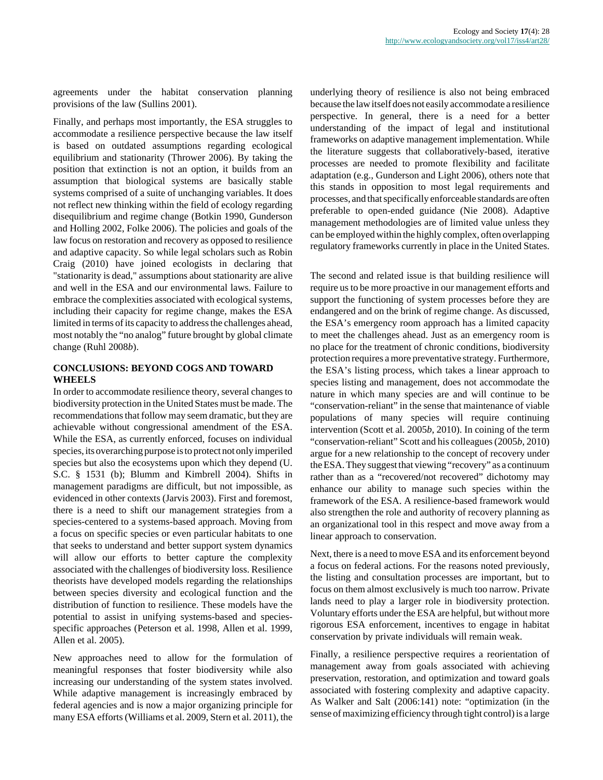agreements under the habitat conservation planning provisions of the law (Sullins 2001).

Finally, and perhaps most importantly, the ESA struggles to accommodate a resilience perspective because the law itself is based on outdated assumptions regarding ecological equilibrium and stationarity (Thrower 2006). By taking the position that extinction is not an option, it builds from an assumption that biological systems are basically stable systems comprised of a suite of unchanging variables. It does not reflect new thinking within the field of ecology regarding disequilibrium and regime change (Botkin 1990, Gunderson and Holling 2002, Folke 2006). The policies and goals of the law focus on restoration and recovery as opposed to resilience and adaptive capacity. So while legal scholars such as Robin Craig (2010) have joined ecologists in declaring that "stationarity is dead," assumptions about stationarity are alive and well in the ESA and our environmental laws. Failure to embrace the complexities associated with ecological systems, including their capacity for regime change, makes the ESA limited in terms of its capacity to address the challenges ahead, most notably the "no analog" future brought by global climate change (Ruhl 2008*b*).

## **CONCLUSIONS: BEYOND COGS AND TOWARD WHEELS**

In order to accommodate resilience theory, several changes to biodiversity protection in the United States must be made. The recommendations that follow may seem dramatic, but they are achievable without congressional amendment of the ESA. While the ESA, as currently enforced, focuses on individual species, its overarching purpose is to protect not only imperiled species but also the ecosystems upon which they depend (U. S.C. § 1531 (b); Blumm and Kimbrell 2004). Shifts in management paradigms are difficult, but not impossible, as evidenced in other contexts (Jarvis 2003). First and foremost, there is a need to shift our management strategies from a species-centered to a systems-based approach. Moving from a focus on specific species or even particular habitats to one that seeks to understand and better support system dynamics will allow our efforts to better capture the complexity associated with the challenges of biodiversity loss. Resilience theorists have developed models regarding the relationships between species diversity and ecological function and the distribution of function to resilience. These models have the potential to assist in unifying systems-based and speciesspecific approaches (Peterson et al. 1998, Allen et al. 1999, Allen et al. 2005).

New approaches need to allow for the formulation of meaningful responses that foster biodiversity while also increasing our understanding of the system states involved. While adaptive management is increasingly embraced by federal agencies and is now a major organizing principle for many ESA efforts (Williams et al. 2009, Stern et al. 2011), the underlying theory of resilience is also not being embraced because the law itself does not easily accommodate a resilience perspective. In general, there is a need for a better understanding of the impact of legal and institutional frameworks on adaptive management implementation. While the literature suggests that collaboratively-based, iterative processes are needed to promote flexibility and facilitate adaptation (e.g., Gunderson and Light 2006), others note that this stands in opposition to most legal requirements and processes, and that specifically enforceable standards are often preferable to open-ended guidance (Nie 2008). Adaptive management methodologies are of limited value unless they can be employed within the highly complex, often overlapping regulatory frameworks currently in place in the United States.

The second and related issue is that building resilience will require us to be more proactive in our management efforts and support the functioning of system processes before they are endangered and on the brink of regime change. As discussed, the ESA's emergency room approach has a limited capacity to meet the challenges ahead. Just as an emergency room is no place for the treatment of chronic conditions, biodiversity protection requires a more preventative strategy. Furthermore, the ESA's listing process, which takes a linear approach to species listing and management, does not accommodate the nature in which many species are and will continue to be "conservation-reliant" in the sense that maintenance of viable populations of many species will require continuing intervention (Scott et al. 2005*b*, 2010). In coining of the term "conservation-reliant" Scott and his colleagues (2005*b*, 2010) argue for a new relationship to the concept of recovery under the ESA. They suggest that viewing "recovery" as a continuum rather than as a "recovered/not recovered" dichotomy may enhance our ability to manage such species within the framework of the ESA. A resilience-based framework would also strengthen the role and authority of recovery planning as an organizational tool in this respect and move away from a linear approach to conservation.

Next, there is a need to move ESA and its enforcement beyond a focus on federal actions. For the reasons noted previously, the listing and consultation processes are important, but to focus on them almost exclusively is much too narrow. Private lands need to play a larger role in biodiversity protection. Voluntary efforts under the ESA are helpful, but without more rigorous ESA enforcement, incentives to engage in habitat conservation by private individuals will remain weak.

Finally, a resilience perspective requires a reorientation of management away from goals associated with achieving preservation, restoration, and optimization and toward goals associated with fostering complexity and adaptive capacity. As Walker and Salt (2006:141) note: "optimization (in the sense of maximizing efficiency through tight control) is a large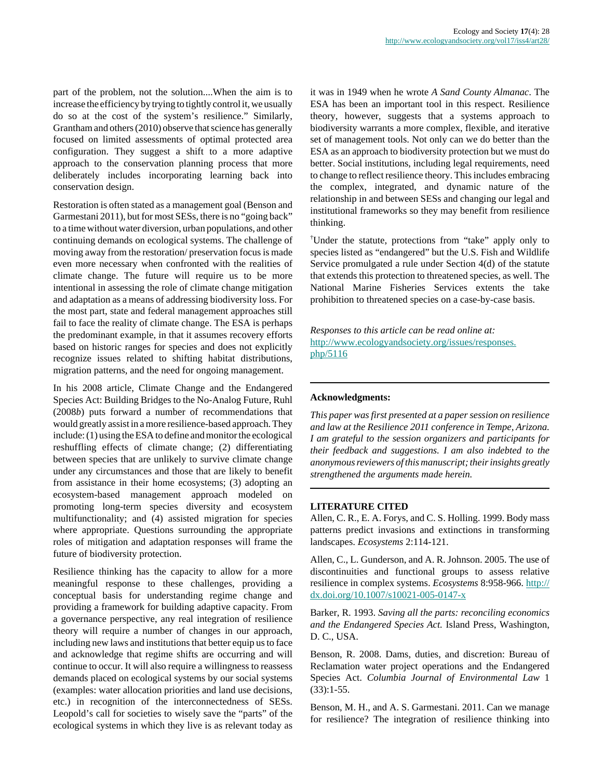part of the problem, not the solution....When the aim is to increase the efficiency by trying to tightly control it, we usually do so at the cost of the system's resilience." Similarly, Grantham and others (2010) observe that science has generally focused on limited assessments of optimal protected area configuration. They suggest a shift to a more adaptive approach to the conservation planning process that more deliberately includes incorporating learning back into conservation design.

Restoration is often stated as a management goal (Benson and Garmestani 2011), but for most SESs, there is no "going back" to a time without water diversion, urban populations, and other continuing demands on ecological systems. The challenge of moving away from the restoration/ preservation focus is made even more necessary when confronted with the realities of climate change. The future will require us to be more intentional in assessing the role of climate change mitigation and adaptation as a means of addressing biodiversity loss. For the most part, state and federal management approaches still fail to face the reality of climate change. The ESA is perhaps the predominant example, in that it assumes recovery efforts based on historic ranges for species and does not explicitly recognize issues related to shifting habitat distributions, migration patterns, and the need for ongoing management.

In his 2008 article, Climate Change and the Endangered Species Act: Building Bridges to the No-Analog Future, Ruhl (2008*b*) puts forward a number of recommendations that would greatly assist in a more resilience-based approach. They include: (1) using the ESA to define and monitor the ecological reshuffling effects of climate change; (2) differentiating between species that are unlikely to survive climate change under any circumstances and those that are likely to benefit from assistance in their home ecosystems; (3) adopting an ecosystem-based management approach modeled on promoting long-term species diversity and ecosystem multifunctionality; and (4) assisted migration for species where appropriate. Questions surrounding the appropriate roles of mitigation and adaptation responses will frame the future of biodiversity protection.

Resilience thinking has the capacity to allow for a more meaningful response to these challenges, providing a conceptual basis for understanding regime change and providing a framework for building adaptive capacity. From a governance perspective, any real integration of resilience theory will require a number of changes in our approach, including new laws and institutions that better equip us to face and acknowledge that regime shifts are occurring and will continue to occur. It will also require a willingness to reassess demands placed on ecological systems by our social systems (examples: water allocation priorities and land use decisions, etc.) in recognition of the interconnectedness of SESs. Leopold's call for societies to wisely save the "parts" of the ecological systems in which they live is as relevant today as it was in 1949 when he wrote *A Sand County Almanac*. The ESA has been an important tool in this respect. Resilience theory, however, suggests that a systems approach to biodiversity warrants a more complex, flexible, and iterative set of management tools. Not only can we do better than the ESA as an approach to biodiversity protection but we must do better. Social institutions, including legal requirements, need to change to reflect resilience theory. This includes embracing the complex, integrated, and dynamic nature of the relationship in and between SESs and changing our legal and institutional frameworks so they may benefit from resilience thinking.

†Under the statute, protections from "take" apply only to species listed as "endangered" but the U.S. Fish and Wildlife Service promulgated a rule under Section 4(d) of the statute that extends this protection to threatened species, as well. The National Marine Fisheries Services extents the take prohibition to threatened species on a case-by-case basis.

*Responses to this article can be read online at:* [http://www.ecologyandsociety.org/issues/responses.](http://www.ecologyandsociety.org/issues/responses.php/5116) [php/5116](http://www.ecologyandsociety.org/issues/responses.php/5116)

## **Acknowledgments:**

*This paper was first presented at a paper session on resilience and law at the Resilience 2011 conference in Tempe, Arizona. I am grateful to the session organizers and participants for their feedback and suggestions. I am also indebted to the anonymous reviewers of this manuscript; their insights greatly strengthened the arguments made herein.*

#### **LITERATURE CITED**

Allen, C. R., E. A. Forys, and C. S. Holling. 1999. Body mass patterns predict invasions and extinctions in transforming landscapes. *Ecosystems* 2:114-121.

Allen, C., L. Gunderson, and A. R. Johnson. 2005. The use of discontinuities and functional groups to assess relative resilience in complex systems. *Ecosystems* 8:958-966. [http://](http://dx.doi.org/10.1007/s10021-005-0147-x) [dx.doi.org/10.1007/s10021-005-0147-x](http://dx.doi.org/10.1007/s10021-005-0147-x)

Barker, R. 1993. *Saving all the parts: reconciling economics and the Endangered Species Act.* Island Press, Washington, D. C., USA.

Benson, R. 2008. Dams, duties, and discretion: Bureau of Reclamation water project operations and the Endangered Species Act. *Columbia Journal of Environmental Law* 1 (33):1-55.

Benson, M. H., and A. S. Garmestani. 2011. Can we manage for resilience? The integration of resilience thinking into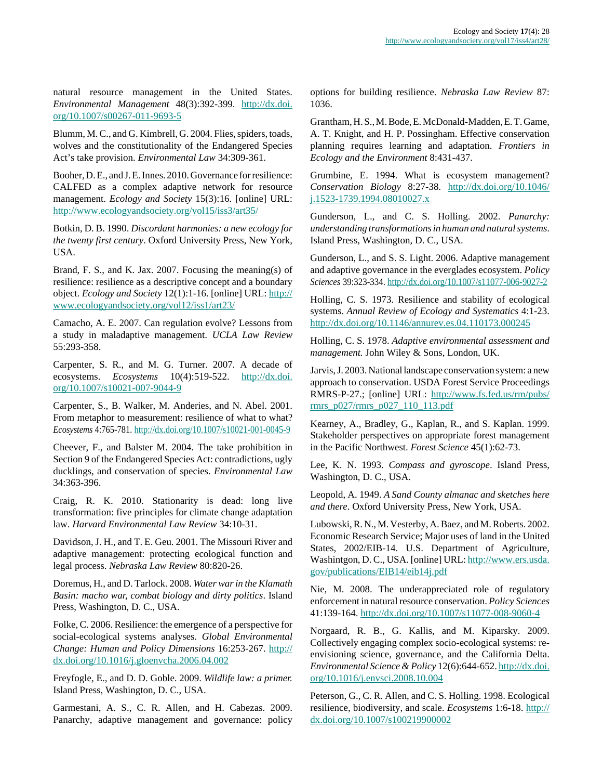natural resource management in the United States. *Environmental Management* 48(3):392-399. [http://dx.doi.](http://dx.doi.org/10.1007/s00267-011-9693-5) [org/10.1007/s00267-011-9693-5](http://dx.doi.org/10.1007/s00267-011-9693-5)

Blumm, M. C., and G. Kimbrell, G. 2004. Flies, spiders, toads, wolves and the constitutionality of the Endangered Species Act's take provision. *Environmental Law* 34:309-361.

Booher, D. E., and J. E. Innes. 2010. Governance for resilience: CALFED as a complex adaptive network for resource management. *Ecology and Society* 15(3):16. [online] URL: <http://www.ecologyandsociety.org/vol15/iss3/art35/>

Botkin, D. B. 1990. *Discordant harmonies: a new ecology for the twenty first century*. Oxford University Press, New York, USA.

Brand, F. S., and K. Jax. 2007. Focusing the meaning(s) of resilience: resilience as a descriptive concept and a boundary object. *Ecology and Society* 12(1):1-16. [online] URL: [http://](http://www.ecologyandsociety.org/vol12/iss1/art23/) [www.ecologyandsociety.org/vol12/iss1/art23/](http://www.ecologyandsociety.org/vol12/iss1/art23/)

Camacho, A. E. 2007. Can regulation evolve? Lessons from a study in maladaptive management. *UCLA Law Review* 55:293-358.

Carpenter, S. R., and M. G. Turner. 2007. A decade of ecosystems. *Ecosystems* 10(4):519-522. [http://dx.doi.](http://dx.doi.org/10.1007/s10021-007-9044-9) [org/10.1007/s10021-007-9044-9](http://dx.doi.org/10.1007/s10021-007-9044-9)

Carpenter, S., B. Walker, M. Anderies, and N. Abel. 2001. From metaphor to measurement: resilience of what to what? *Ecosystems* 4:765-781.<http://dx.doi.org/10.1007/s10021-001-0045-9>

Cheever, F., and Balster M. 2004. The take prohibition in Section 9 of the Endangered Species Act: contradictions, ugly ducklings, and conservation of species. *Environmental Law* 34:363-396.

Craig, R. K. 2010. Stationarity is dead: long live transformation: five principles for climate change adaptation law. *Harvard Environmental Law Review* 34:10-31.

Davidson, J. H., and T. E. Geu. 2001. The Missouri River and adaptive management: protecting ecological function and legal process. *Nebraska Law Review* 80:820-26.

Doremus, H., and D. Tarlock. 2008. *Water war in the Klamath Basin: macho war, combat biology and dirty politics*. Island Press, Washington, D. C., USA.

Folke, C. 2006. Resilience: the emergence of a perspective for social-ecological systems analyses. *Global Environmental Change: Human and Policy Dimensions* 16:253-267. [http://](http://dx.doi.org/10.1016/j.gloenvcha.2006.04.002) [dx.doi.org/10.1016/j.gloenvcha.2006.04.002](http://dx.doi.org/10.1016/j.gloenvcha.2006.04.002)

Freyfogle, E., and D. D. Goble. 2009. *Wildlife law: a primer.* Island Press, Washington, D. C., USA.

Garmestani, A. S., C. R. Allen, and H. Cabezas. 2009. Panarchy, adaptive management and governance: policy options for building resilience. *Nebraska Law Review* 87: 1036.

Grantham, H. S., M. Bode, E. McDonald-Madden, E. T. Game, A. T. Knight, and H. P. Possingham. Effective conservation planning requires learning and adaptation. *Frontiers in Ecology and the Environment* 8:431-437.

Grumbine, E. 1994. What is ecosystem management? *Conservation Biology* 8:27-38. [http://dx.doi.org/10.1046/](http://dx.doi.org/10.1046/j.1523-1739.1994.08010027.x) [j.1523-1739.1994.08010027.x](http://dx.doi.org/10.1046/j.1523-1739.1994.08010027.x)

Gunderson, L., and C. S. Holling. 2002. *Panarchy: understanding transformations in human and natural systems*. Island Press, Washington, D. C., USA.

Gunderson, L., and S. S. Light. 2006. Adaptive management and adaptive governance in the everglades ecosystem. *Policy Sciences* 39:323-334. <http://dx.doi.org/10.1007/s11077-006-9027-2>

Holling, C. S. 1973. Resilience and stability of ecological systems. *Annual Review of Ecology and Systematics* 4:1-23. <http://dx.doi.org/10.1146/annurev.es.04.110173.000245>

Holling, C. S. 1978. *Adaptive environmental assessment and management.* John Wiley & Sons, London, UK.

Jarvis, J. 2003. National landscape conservation system: a new approach to conservation. USDA Forest Service Proceedings RMRS-P-27.; [online] URL: [http://www.fs.fed.us/rm/pubs/](http://www.fs.fed.us/rm/pubs/rmrs_p027/rmrs_p027_110_113.pdf) [rmrs\\_p027/rmrs\\_p027\\_110\\_113.pdf](http://www.fs.fed.us/rm/pubs/rmrs_p027/rmrs_p027_110_113.pdf)

Kearney, A., Bradley, G., Kaplan, R., and S. Kaplan. 1999. Stakeholder perspectives on appropriate forest management in the Pacific Northwest. *Forest Science* 45(1):62-73.

Lee, K. N. 1993. *Compass and gyroscope*. Island Press, Washington, D. C., USA.

Leopold, A. 1949. *A Sand County almanac and sketches here and there*. Oxford University Press, New York, USA.

Lubowski, R. N., M. Vesterby, A. Baez, and M. Roberts. 2002. Economic Research Service; Major uses of land in the United States, 2002/EIB-14. U.S. Department of Agriculture, Washintgon, D. C., USA. [online] URL: [http://www.ers.usda.](http://www.ers.usda.gov/publications/EIB14/eib14j.pdf) [gov/publications/EIB14/eib14j.pdf](http://www.ers.usda.gov/publications/EIB14/eib14j.pdf)

Nie, M. 2008. The underappreciated role of regulatory enforcement in natural resource conservation. *Policy Sciences* 41:139-164.<http://dx.doi.org/10.1007/s11077-008-9060-4>

Norgaard, R. B., G. Kallis, and M. Kiparsky. 2009. Collectively engaging complex socio-ecological systems: reenvisioning science, governance, and the California Delta. *Environmental Science & Policy* 12(6):644-652. [http://dx.doi.](http://dx.doi.org/10.1016/j.envsci.2008.10.004) [org/10.1016/j.envsci.2008.10.004](http://dx.doi.org/10.1016/j.envsci.2008.10.004)

Peterson, G., C. R. Allen, and C. S. Holling. 1998. Ecological resilience, biodiversity, and scale. *Ecosystems* 1:6-18. [http://](http://dx.doi.org/10.1007/s100219900002) [dx.doi.org/10.1007/s100219900002](http://dx.doi.org/10.1007/s100219900002)